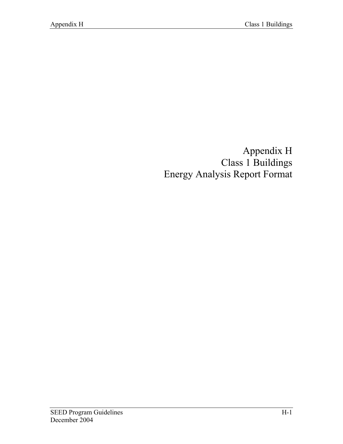Appendix H Class 1 Buildings Energy Analysis Report Format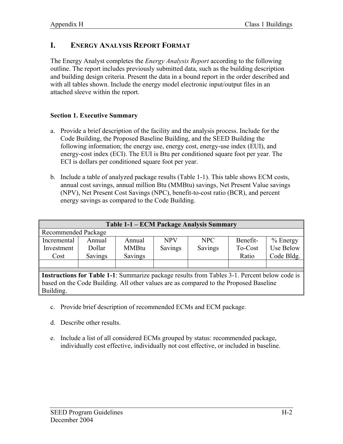# **I. ENERGY ANALYSIS REPORT FORMAT**

The Energy Analyst completes the *Energy Analysis Report* according to the following outline. The report includes previously submitted data, such as the building description and building design criteria. Present the data in a bound report in the order described and with all tables shown. Include the energy model electronic input/output files in an attached sleeve within the report.

#### **Section 1. Executive Summary**

- a. Provide a brief description of the facility and the analysis process. Include for the Code Building, the Proposed Baseline Building, and the SEED Building the following information; the energy use, energy cost, energy-use index (EUI), and energy-cost index (ECI). The EUI is Btu per conditioned square foot per year. The ECI is dollars per conditioned square foot per year.
- b. Include a table of analyzed package results (Table 1-1). This table shows ECM costs, annual cost savings, annual million Btu (MMBtu) savings, Net Present Value savings (NPV), Net Present Cost Savings (NPC), benefit-to-cost ratio (BCR), and percent energy savings as compared to the Code Building.

| Table 1-1 - ECM Package Analysis Summary                                                            |         |              |            |         |          |            |  |
|-----------------------------------------------------------------------------------------------------|---------|--------------|------------|---------|----------|------------|--|
| Recommended Package                                                                                 |         |              |            |         |          |            |  |
| Incremental                                                                                         | Annual  | Annual       | <b>NPV</b> | NPC     | Benefit- | $%$ Energy |  |
| Investment                                                                                          | Dollar  | <b>MMBtu</b> | Savings    | Savings | To-Cost  | Use Below  |  |
| Cost                                                                                                | Savings | Savings      |            |         | Ratio    | Code Bldg. |  |
|                                                                                                     |         |              |            |         |          |            |  |
|                                                                                                     |         |              |            |         |          |            |  |
| <b>Instructions for Table 1-1:</b> Summarize package results from Tables 3-1. Percent below code is |         |              |            |         |          |            |  |
| based on the Code Building. All other values are as compared to the Proposed Baseline               |         |              |            |         |          |            |  |
| Building.                                                                                           |         |              |            |         |          |            |  |

- c. Provide brief description of recommended ECMs and ECM package.
- d. Describe other results.
- e. Include a list of all considered ECMs grouped by status: recommended package, individually cost effective, individually not cost effective, or included in baseline.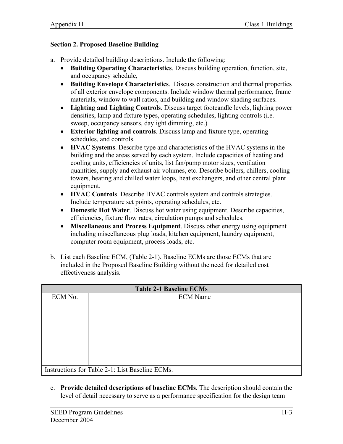#### **Section 2. Proposed Baseline Building**

- a. Provide detailed building descriptions. Include the following:
	- **Building Operating Characteristics**. Discuss building operation, function, site, and occupancy schedule,
	- **Building Envelope Characteristics**. Discuss construction and thermal properties of all exterior envelope components. Include window thermal performance, frame materials, window to wall ratios, and building and window shading surfaces.
	- **Lighting and Lighting Controls**. Discuss target footcandle levels, lighting power densities, lamp and fixture types, operating schedules, lighting controls (i.e. sweep, occupancy sensors, daylight dimming, etc.)
	- **Exterior lighting and controls**. Discuss lamp and fixture type, operating schedules, and controls.
	- **HVAC Systems**. Describe type and characteristics of the HVAC systems in the building and the areas served by each system. Include capacities of heating and cooling units, efficiencies of units, list fan/pump motor sizes, ventilation quantities, supply and exhaust air volumes, etc. Describe boilers, chillers, cooling towers, heating and chilled water loops, heat exchangers, and other central plant equipment.
	- **HVAC Controls**. Describe HVAC controls system and controls strategies. Include temperature set points, operating schedules, etc.
	- **Domestic Hot Water**. Discuss hot water using equipment. Describe capacities, efficiencies, fixture flow rates, circulation pumps and schedules.
	- **Miscellaneous and Process Equipment**. Discuss other energy using equipment including miscellaneous plug loads, kitchen equipment, laundry equipment, computer room equipment, process loads, etc.
- b. List each Baseline ECM, (Table 2-1). Baseline ECMs are those ECMs that are included in the Proposed Baseline Building without the need for detailed cost effectiveness analysis.

| <b>Table 2-1 Baseline ECMs</b> |                                                 |  |  |  |
|--------------------------------|-------------------------------------------------|--|--|--|
| ECM No.                        | <b>ECM</b> Name                                 |  |  |  |
|                                |                                                 |  |  |  |
|                                |                                                 |  |  |  |
|                                |                                                 |  |  |  |
|                                |                                                 |  |  |  |
|                                |                                                 |  |  |  |
|                                |                                                 |  |  |  |
|                                |                                                 |  |  |  |
|                                |                                                 |  |  |  |
|                                | Instructions for Table 2-1: List Baseline ECMs. |  |  |  |

c. **Provide detailed descriptions of baseline ECMs**. The description should contain the level of detail necessary to serve as a performance specification for the design team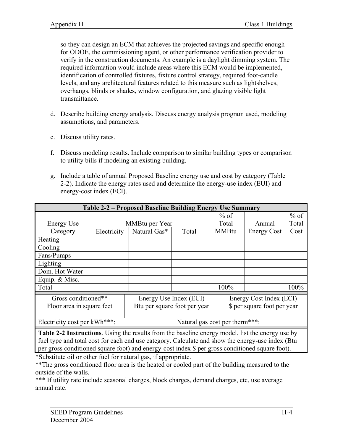so they can design an ECM that achieves the projected savings and specific enough for ODOE, the commissioning agent, or other performance verification provider to verify in the construction documents. An example is a daylight dimming system. The required information would include areas where this ECM would be implemented, identification of controlled fixtures, fixture control strategy, required foot-candle levels, and any architectural features related to this measure such as lightshelves, overhangs, blinds or shades, window configuration, and glazing visible light transmittance.

- d. Describe building energy analysis. Discuss energy analysis program used, modeling assumptions, and parameters.
- e. Discuss utility rates.
- f. Discuss modeling results. Include comparison to similar building types or comparison to utility bills if modeling an existing building.
- g. Include a table of annual Proposed Baseline energy use and cost by category (Table 2-2). Indicate the energy rates used and determine the energy-use index (EUI) and energy-cost index (ECI).

| Table 2-2 – Proposed Baseline Building Energy Use Summary |             |                              |                                |  |                             |                         |        |
|-----------------------------------------------------------|-------------|------------------------------|--------------------------------|--|-----------------------------|-------------------------|--------|
|                                                           |             |                              |                                |  | $%$ of                      |                         | $%$ of |
| Energy Use                                                |             | MMBtu per Year               |                                |  | Total                       | Annual                  | Total  |
| Category                                                  | Electricity | Natural Gas*                 | Total                          |  | <b>MMBtu</b>                | <b>Energy Cost</b>      | Cost   |
| Heating                                                   |             |                              |                                |  |                             |                         |        |
| Cooling                                                   |             |                              |                                |  |                             |                         |        |
| Fans/Pumps                                                |             |                              |                                |  |                             |                         |        |
| Lighting                                                  |             |                              |                                |  |                             |                         |        |
| Dom. Hot Water                                            |             |                              |                                |  |                             |                         |        |
| Equip. & Misc.                                            |             |                              |                                |  |                             |                         |        |
| Total                                                     |             |                              |                                |  | 100%                        |                         | 100%   |
| Gross conditioned**                                       |             | Energy Use Index (EUI)       |                                |  |                             | Energy Cost Index (ECI) |        |
| Floor area in square feet                                 |             | Btu per square foot per year |                                |  | \$ per square foot per year |                         |        |
|                                                           |             |                              |                                |  |                             |                         |        |
| Electricity cost per kWh***:                              |             |                              | Natural gas cost per therm***: |  |                             |                         |        |

**Table 2-2 Instructions**. Using the results from the baseline energy model, list the energy use by fuel type and total cost for each end use category. Calculate and show the energy-use index (Btu per gross conditioned square foot) and energy-cost index \$ per gross conditioned square foot).

\*Substitute oil or other fuel for natural gas, if appropriate.

\*\*The gross conditioned floor area is the heated or cooled part of the building measured to the outside of the walls.

\*\*\* If utility rate include seasonal charges, block charges, demand charges, etc, use average annual rate.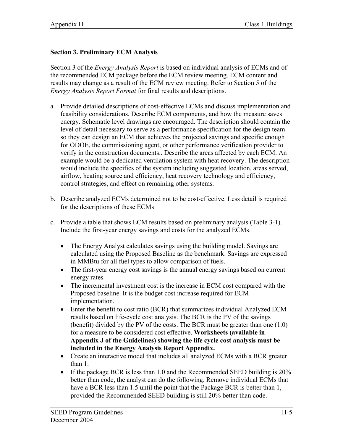### **Section 3. Preliminary ECM Analysis**

Section 3 of the *Energy Analysis Report* is based on individual analysis of ECMs and of the recommended ECM package before the ECM review meeting. ECM content and results may change as a result of the ECM review meeting. Refer to Section 5 of the *Energy Analysis Report Format* for final results and descriptions.

- a. Provide detailed descriptions of cost-effective ECMs and discuss implementation and feasibility considerations. Describe ECM components, and how the measure saves energy. Schematic level drawings are encouraged. The description should contain the level of detail necessary to serve as a performance specification for the design team so they can design an ECM that achieves the projected savings and specific enough for ODOE, the commissioning agent, or other performance verification provider to verify in the construction documents.. Describe the areas affected by each ECM. An example would be a dedicated ventilation system with heat recovery. The description would include the specifics of the system including suggested location, areas served, airflow, heating source and efficiency, heat recovery technology and efficiency, control strategies, and effect on remaining other systems.
- b. Describe analyzed ECMs determined not to be cost-effective. Less detail is required for the descriptions of these ECMs
- c. Provide a table that shows ECM results based on preliminary analysis (Table 3-1). Include the first-year energy savings and costs for the analyzed ECMs.
	- The Energy Analyst calculates savings using the building model. Savings are calculated using the Proposed Baseline as the benchmark. Savings are expressed in MMBtu for all fuel types to allow comparison of fuels.
	- The first-year energy cost savings is the annual energy savings based on current energy rates.
	- The incremental investment cost is the increase in ECM cost compared with the Proposed baseline. It is the budget cost increase required for ECM implementation.
	- Enter the benefit to cost ratio (BCR) that summarizes individual Analyzed ECM results based on life-cycle cost analysis. The BCR is the PV of the savings (benefit) divided by the PV of the costs. The BCR must be greater than one (1.0) for a measure to be considered cost effective. **Worksheets (available in Appendix J of the Guidelines) showing the life cycle cost analysis must be included in the Energy Analysis Report Appendix.**
	- Create an interactive model that includes all analyzed ECMs with a BCR greater than 1.
	- If the package BCR is less than 1.0 and the Recommended SEED building is 20% better than code, the analyst can do the following. Remove individual ECMs that have a BCR less than 1.5 until the point that the Package BCR is better than 1, provided the Recommended SEED building is still 20% better than code.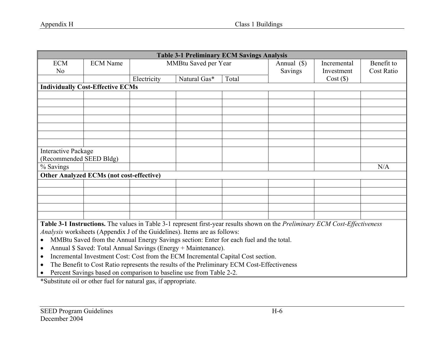| <b>Table 3-1 Preliminary ECM Savings Analysis</b>                                                                                                                                                                                                                                                          |                                                 |             |                      |       |             |             |            |
|------------------------------------------------------------------------------------------------------------------------------------------------------------------------------------------------------------------------------------------------------------------------------------------------------------|-------------------------------------------------|-------------|----------------------|-------|-------------|-------------|------------|
| <b>ECM</b>                                                                                                                                                                                                                                                                                                 | <b>ECM</b> Name                                 |             | MMBtu Saved per Year |       | Annual (\$) | Incremental | Benefit to |
| N <sub>o</sub>                                                                                                                                                                                                                                                                                             |                                                 |             |                      |       | Savings     | Investment  | Cost Ratio |
|                                                                                                                                                                                                                                                                                                            |                                                 | Electricity | Natural Gas*         | Total |             | Cost(S)     |            |
|                                                                                                                                                                                                                                                                                                            | <b>Individually Cost-Effective ECMs</b>         |             |                      |       |             |             |            |
|                                                                                                                                                                                                                                                                                                            |                                                 |             |                      |       |             |             |            |
|                                                                                                                                                                                                                                                                                                            |                                                 |             |                      |       |             |             |            |
|                                                                                                                                                                                                                                                                                                            |                                                 |             |                      |       |             |             |            |
|                                                                                                                                                                                                                                                                                                            |                                                 |             |                      |       |             |             |            |
|                                                                                                                                                                                                                                                                                                            |                                                 |             |                      |       |             |             |            |
|                                                                                                                                                                                                                                                                                                            |                                                 |             |                      |       |             |             |            |
|                                                                                                                                                                                                                                                                                                            |                                                 |             |                      |       |             |             |            |
| <b>Interactive Package</b>                                                                                                                                                                                                                                                                                 |                                                 |             |                      |       |             |             |            |
| (Recommended SEED Bldg)                                                                                                                                                                                                                                                                                    |                                                 |             |                      |       |             |             |            |
| % Savings                                                                                                                                                                                                                                                                                                  |                                                 |             |                      |       |             |             | N/A        |
|                                                                                                                                                                                                                                                                                                            | <b>Other Analyzed ECMs (not cost-effective)</b> |             |                      |       |             |             |            |
|                                                                                                                                                                                                                                                                                                            |                                                 |             |                      |       |             |             |            |
|                                                                                                                                                                                                                                                                                                            |                                                 |             |                      |       |             |             |            |
|                                                                                                                                                                                                                                                                                                            |                                                 |             |                      |       |             |             |            |
|                                                                                                                                                                                                                                                                                                            |                                                 |             |                      |       |             |             |            |
|                                                                                                                                                                                                                                                                                                            |                                                 |             |                      |       |             |             |            |
| Table 3-1 Instructions. The values in Table 3-1 represent first-year results shown on the Preliminary ECM Cost-Effectiveness<br><i>Analysis</i> worksheets (Appendix J of the Guidelines). Items are as follows:<br>MMBtu Saved from the Annual Energy Savings section: Enter for each fuel and the total. |                                                 |             |                      |       |             |             |            |

- $\bullet$ Annual \$ Saved: Total Annual Savings (Energy + Maintenance).
- Incremental Investment Cost: Cost from the ECM Incremental Capital Cost section.
- The Benefit to Cost Ratio represents the results of the Preliminary ECM Cost-Effectiveness
- Percent Savings based on comparison to baseline use from Table 2-2.

\*Substitute oil or other fuel for natural gas, if appropriate.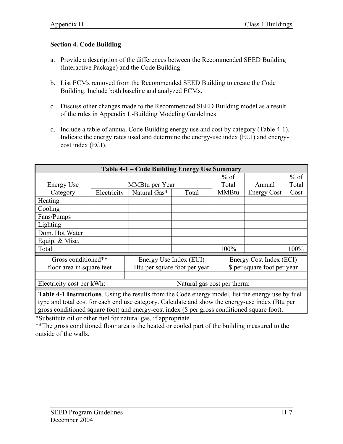#### **Section 4. Code Building**

- a. Provide a description of the differences between the Recommended SEED Building (Interactive Package) and the Code Building.
- b. List ECMs removed from the Recommended SEED Building to create the Code Building. Include both baseline and analyzed ECMs.
- c. Discuss other changes made to the Recommended SEED Building model as a result of the rules in Appendix L-Building Modeling Guidelines
- d. Include a table of annual Code Building energy use and cost by category (Table 4-1). Indicate the energy rates used and determine the energy-use index (EUI) and energycost index (ECI).

| Table 4-1 – Code Building Energy Use Summary     |             |                                                        |                             |                                                        |                    |        |
|--------------------------------------------------|-------------|--------------------------------------------------------|-----------------------------|--------------------------------------------------------|--------------------|--------|
|                                                  |             |                                                        |                             | $%$ of                                                 |                    | $%$ of |
| Energy Use                                       |             | MMBtu per Year                                         |                             | Total                                                  | Annual             | Total  |
| Category                                         | Electricity | Natural Gas*                                           | Total                       | <b>MMBtu</b>                                           | <b>Energy Cost</b> | Cost   |
| Heating                                          |             |                                                        |                             |                                                        |                    |        |
| Cooling                                          |             |                                                        |                             |                                                        |                    |        |
| Fans/Pumps                                       |             |                                                        |                             |                                                        |                    |        |
| Lighting                                         |             |                                                        |                             |                                                        |                    |        |
| Dom. Hot Water                                   |             |                                                        |                             |                                                        |                    |        |
| Equip. & Misc.                                   |             |                                                        |                             |                                                        |                    |        |
| Total                                            |             |                                                        |                             | 100%                                                   |                    | 100%   |
| Gross conditioned**<br>floor area in square feet |             | Energy Use Index (EUI)<br>Btu per square foot per year |                             | Energy Cost Index (ECI)<br>\$ per square foot per year |                    |        |
|                                                  |             |                                                        |                             |                                                        |                    |        |
| Electricity cost per kWh:                        |             |                                                        | Natural gas cost per therm: |                                                        |                    |        |

**Table 4-1 Instructions**. Using the results from the Code energy model, list the energy use by fuel type and total cost for each end use category. Calculate and show the energy-use index (Btu per gross conditioned square foot) and energy-cost index (\$ per gross conditioned square foot).

\*Substitute oil or other fuel for natural gas, if appropriate.

\*\*The gross conditioned floor area is the heated or cooled part of the building measured to the outside of the walls.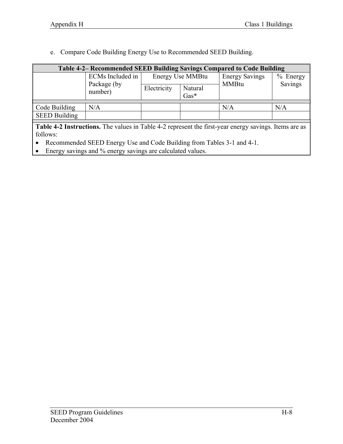e. Compare Code Building Energy Use to Recommended SEED Building.

| <b>Table 4-2– Recommended SEED Building Savings Compared to Code Building</b>                                |                        |                  |                   |                       |            |  |  |
|--------------------------------------------------------------------------------------------------------------|------------------------|------------------|-------------------|-----------------------|------------|--|--|
|                                                                                                              | ECMs Included in       | Energy Use MMBtu |                   | <b>Energy Savings</b> | $%$ Energy |  |  |
|                                                                                                              | Package (by<br>number) | Electricity      | Natural<br>$Gas*$ | <b>MMBtu</b>          | Savings    |  |  |
|                                                                                                              |                        |                  |                   |                       |            |  |  |
| Code Building                                                                                                | N/A                    |                  |                   | N/A                   | N/A        |  |  |
| <b>SEED Building</b>                                                                                         |                        |                  |                   |                       |            |  |  |
|                                                                                                              |                        |                  |                   |                       |            |  |  |
| <b>Table 4-2 Instructions.</b> The values in Table 4-2 represent the first-year energy savings. Items are as |                        |                  |                   |                       |            |  |  |
| follows:                                                                                                     |                        |                  |                   |                       |            |  |  |

• Recommended SEED Energy Use and Code Building from Tables 3-1 and 4-1.

• Energy savings and % energy savings are calculated values.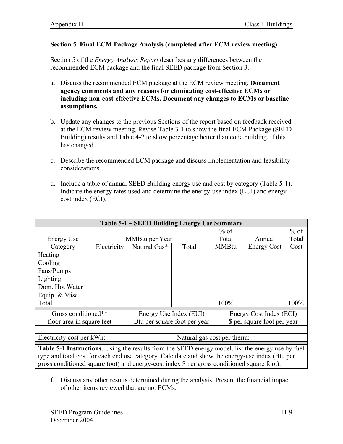#### **Section 5. Final ECM Package Analysis (completed after ECM review meeting)**

Section 5 of the *Energy Analysis Report* describes any differences between the recommended ECM package and the final SEED package from Section 3.

- a. Discuss the recommended ECM package at the ECM review meeting. **Document agency comments and any reasons for eliminating cost-effective ECMs or including non-cost-effective ECMs. Document any changes to ECMs or baseline assumptions.**
- b. Update any changes to the previous Sections of the report based on feedback received at the ECM review meeting, Revise Table 3-1 to show the final ECM Package (SEED Building) results and Table 4-2 to show percentage better than code building, if this has changed.
- c. Describe the recommended ECM package and discuss implementation and feasibility considerations.
- d. Include a table of annual SEED Building energy use and cost by category (Table 5-1). Indicate the energy rates used and determine the energy-use index (EUI) and energycost index (ECI).

| Table 5-1 – SEED Building Energy Use Summary                                                                                                                                                                                                                                                                        |             |                                                        |       |                                                        |              |                    |        |
|---------------------------------------------------------------------------------------------------------------------------------------------------------------------------------------------------------------------------------------------------------------------------------------------------------------------|-------------|--------------------------------------------------------|-------|--------------------------------------------------------|--------------|--------------------|--------|
|                                                                                                                                                                                                                                                                                                                     |             |                                                        |       |                                                        | $%$ of       |                    | $%$ of |
| <b>Energy Use</b>                                                                                                                                                                                                                                                                                                   |             | MMBtu per Year                                         |       |                                                        | Total        | Annual             | Total  |
| Category                                                                                                                                                                                                                                                                                                            | Electricity | Natural Gas*                                           | Total |                                                        | <b>MMBtu</b> | <b>Energy Cost</b> | Cost   |
| <b>Heating</b>                                                                                                                                                                                                                                                                                                      |             |                                                        |       |                                                        |              |                    |        |
| Cooling                                                                                                                                                                                                                                                                                                             |             |                                                        |       |                                                        |              |                    |        |
| Fans/Pumps                                                                                                                                                                                                                                                                                                          |             |                                                        |       |                                                        |              |                    |        |
| Lighting                                                                                                                                                                                                                                                                                                            |             |                                                        |       |                                                        |              |                    |        |
| Dom. Hot Water                                                                                                                                                                                                                                                                                                      |             |                                                        |       |                                                        |              |                    |        |
| Equip. & Misc.                                                                                                                                                                                                                                                                                                      |             |                                                        |       |                                                        |              |                    |        |
| Total                                                                                                                                                                                                                                                                                                               |             |                                                        |       |                                                        | 100%         |                    | 100%   |
| Gross conditioned**<br>floor area in square feet                                                                                                                                                                                                                                                                    |             | Energy Use Index (EUI)<br>Btu per square foot per year |       | Energy Cost Index (ECI)<br>\$ per square foot per year |              |                    |        |
|                                                                                                                                                                                                                                                                                                                     |             |                                                        |       |                                                        |              |                    |        |
| Electricity cost per kWh:<br>Natural gas cost per therm:                                                                                                                                                                                                                                                            |             |                                                        |       |                                                        |              |                    |        |
| $\mathbf{T}$ is the $\mathbf{H}$ in the set of $\mathbf{H}$ is the set of $\mathbf{H}$ is the set of $\mathbf{H}$ is the set of $\mathbf{H}$ is the set of $\mathbf{H}$ is the set of $\mathbf{H}$ is the set of $\mathbf{H}$ is the set of $\mathbf{H}$ is the set of<br>$\begin{array}{cc} 1 & C & 1 \end{array}$ |             |                                                        |       |                                                        |              |                    |        |

**Table 5-1 Instructions**. Using the results from the SEED energy model, list the energy use by fuel type and total cost for each end use category. Calculate and show the energy-use index (Btu per gross conditioned square foot) and energy-cost index \$ per gross conditioned square foot).

f. Discuss any other results determined during the analysis. Present the financial impact of other items reviewed that are not ECMs.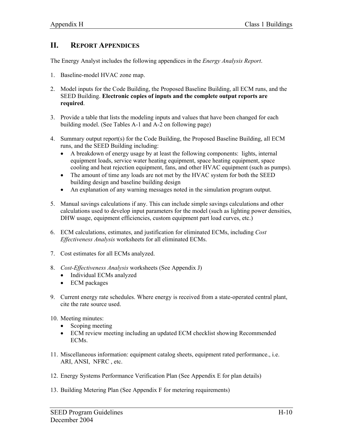# **II. REPORT APPENDICES**

The Energy Analyst includes the following appendices in the *Energy Analysis Report*.

- 1. Baseline-model HVAC zone map.
- 2. Model inputs for the Code Building, the Proposed Baseline Building, all ECM runs, and the SEED Building. **Electronic copies of inputs and the complete output reports are required**.
- 3. Provide a table that lists the modeling inputs and values that have been changed for each building model. (See Tables A-1 and A-2 on following page)
- 4. Summary output report(s) for the Code Building, the Proposed Baseline Building, all ECM runs, and the SEED Building including:
	- A breakdown of energy usage by at least the following components: lights, internal equipment loads, service water heating equipment, space heating equipment, space cooling and heat rejection equipment, fans, and other HVAC equipment (such as pumps).
	- The amount of time any loads are not met by the HVAC system for both the SEED building design and baseline building design
	- An explanation of any warning messages noted in the simulation program output.
- 5. Manual savings calculations if any. This can include simple savings calculations and other calculations used to develop input parameters for the model (such as lighting power densities, DHW usage, equipment efficiencies, custom equipment part load curves, etc.)
- 6. ECM calculations, estimates, and justification for eliminated ECMs, including *Cost Effectiveness Analysis* worksheets for all eliminated ECMs.
- 7. Cost estimates for all ECMs analyzed.
- 8. *Cost-Effectiveness Analysis* worksheets (See Appendix J)
	- Individual ECMs analyzed
	- ECM packages
- 9. Current energy rate schedules. Where energy is received from a state-operated central plant, cite the rate source used.
- 10. Meeting minutes:
	- Scoping meeting
	- ECM review meeting including an updated ECM checklist showing Recommended ECMs.
- 11. Miscellaneous information: equipment catalog sheets, equipment rated performance., i.e. ARI, ANSI, NFRC , etc.
- 12. Energy Systems Performance Verification Plan (See Appendix E for plan details)
- 13. Building Metering Plan (See Appendix F for metering requirements)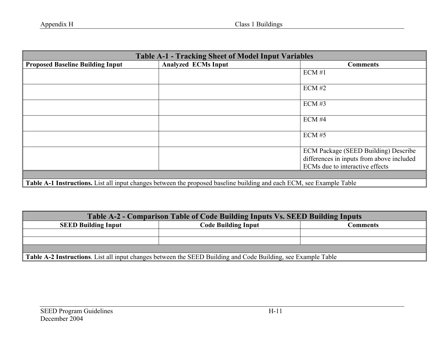| <b>Table A-1 - Tracking Sheet of Model Input Variables</b>                                                                   |                            |                                                                                                                      |  |  |
|------------------------------------------------------------------------------------------------------------------------------|----------------------------|----------------------------------------------------------------------------------------------------------------------|--|--|
| <b>Proposed Baseline Building Input</b>                                                                                      | <b>Analyzed ECMs Input</b> | <b>Comments</b>                                                                                                      |  |  |
|                                                                                                                              |                            | $ECM \#1$                                                                                                            |  |  |
|                                                                                                                              |                            | ECM#2                                                                                                                |  |  |
|                                                                                                                              |                            | $ECM \#3$                                                                                                            |  |  |
|                                                                                                                              |                            | ECM#4                                                                                                                |  |  |
|                                                                                                                              |                            | $ECM \#5$                                                                                                            |  |  |
|                                                                                                                              |                            | ECM Package (SEED Building) Describe<br>differences in inputs from above included<br>ECMs due to interactive effects |  |  |
|                                                                                                                              |                            |                                                                                                                      |  |  |
| <b>Table A-1 Instructions.</b> List all input changes between the proposed baseline building and each ECM, see Example Table |                            |                                                                                                                      |  |  |

| Table A-2 - Comparison Table of Code Building Inputs Vs. SEED Building Inputs                                 |                            |          |  |  |  |
|---------------------------------------------------------------------------------------------------------------|----------------------------|----------|--|--|--|
| <b>SEED Building Input</b>                                                                                    | <b>Code Building Input</b> | Comments |  |  |  |
|                                                                                                               |                            |          |  |  |  |
|                                                                                                               |                            |          |  |  |  |
|                                                                                                               |                            |          |  |  |  |
| Table A-2 Instructions. List all input changes between the SEED Building and Code Building, see Example Table |                            |          |  |  |  |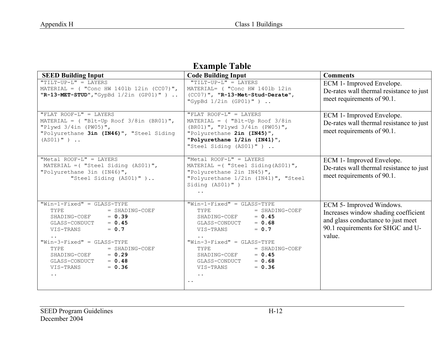# **Example Table**

| <b>SEED Building Input</b>                                                                                                                                                                                                                                                                                    | <b>Code Building Input</b>                                                                                                                                                                                                                                                                           | <b>Comments</b>                                                                                                                                       |  |
|---------------------------------------------------------------------------------------------------------------------------------------------------------------------------------------------------------------------------------------------------------------------------------------------------------------|------------------------------------------------------------------------------------------------------------------------------------------------------------------------------------------------------------------------------------------------------------------------------------------------------|-------------------------------------------------------------------------------------------------------------------------------------------------------|--|
| "TILT-UP-L" = LAYERS<br>MATERIAL = $($ "Conc HW 1401b 12in $(CCO7)$ ",<br>$"R-13-MET-STUD", "GypBd 1/2in (GPO1)"$ )                                                                                                                                                                                           | "TILT-UP-L" = LAYERS<br>MATERIAL= ( "Conc HW 1401b 12in<br>(CC07)", "R-13-Met-Stud-Derate",<br>"GypBd $1/2$ in (GP01)")                                                                                                                                                                              | ECM 1- Improved Envelope.<br>De-rates wall thermal resistance to just<br>meet requirements of 90.1.                                                   |  |
| $"FLAT$ ROOF-L" = LAYERS<br>MATERIAL = $($ "Blt-Up Roof 3/8in (BR01)",<br>"Plywd $3/4$ in (PW05)",<br>"Polyurethane 3in (IN46)", "Steel Siding<br>$(AS01)$ " )                                                                                                                                                | "FLAT ROOF-L" = LAYERS<br>$MATERIAL =$ ( "Blt-Up Roof 3/8in<br>(BR01)", "Plywd 3/4in (PW05)",<br>"Polyurethane 2in (IN45)",<br>"Polyurethane 1/2in (IN41)",<br>"Steel Siding (AS01)")                                                                                                                | ECM 1- Improved Envelope.<br>De-rates wall thermal resistance to just<br>meet requirements of 90.1.                                                   |  |
| "Metal ROOF-L" = LAYERS<br>MATERIAL = $($ "Steel Siding $(AS01)$ ",<br>"Polyurethane 3in (IN46)",<br>"Steel Siding (AS01)")                                                                                                                                                                                   | "Metal ROOF-L" = LAYERS<br>MATERIAL = $($ "Steel Siding (AS01)",<br>"Polyurethane 2in IN45)",<br>"Polyurethane 1/2in (IN41)", "Steel<br>Siding (AS01)")<br>$\ddot{\phantom{0}}$                                                                                                                      | ECM 1- Improved Envelope.<br>De-rates wall thermal resistance to just<br>meet requirements of 90.1.                                                   |  |
| $"Win-1-Fixed" = GLASS-TYPE$<br>TYPE<br>$=$ SHADING-COEF<br>SHADING-COEF $= 0.39$<br>$= 0.45$<br>GLASS-CONDUCT<br>$= 0.7$<br>VIS-TRANS<br>$"Win-3-Fixed" = GLASS-TYPE$<br>TYPE<br>$=$ SHADING-COEF<br>SHADING-COEF<br>$= 0.29$<br>GLASS-CONDUCT<br>$= 0.48$<br>$= 0.36$<br>VIS-TRANS<br>$\bullet$ . $\bullet$ | $"Win-1-Fixed" = GLASS-TYPE$<br>TYPE<br>$=$ SHADING-COEF<br>SHADING-COEF<br>$= 0.45$<br>GLASS-CONDUCT<br>$= 0.68$<br>$= 0.7$<br>VIS-TRANS<br>$"Win-3-Fixed" = GLASS-TYPE$<br>TYPE<br>$=$ SHADING-COEF<br>$= 0.45$<br>SHADING-COEF<br>$= 0.68$<br>GLASS-CONDUCT<br>$= 0.36$<br>VIS-TRANS<br>$\ddotsc$ | ECM 5- Improved Windows.<br>Increases window shading coefficient<br>and glass conductance to just meet<br>90.1 requirements for SHGC and U-<br>value. |  |